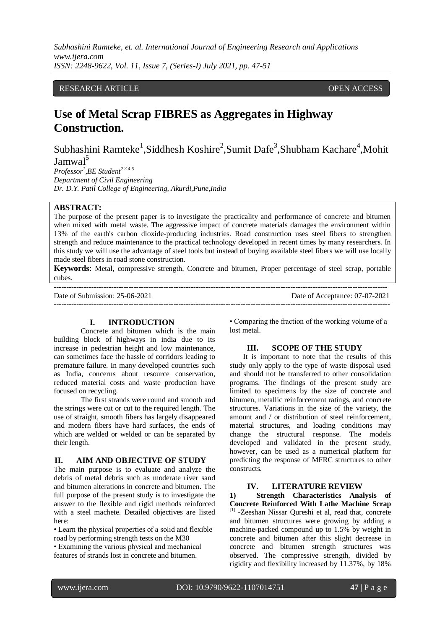# RESEARCH ARTICLE **CONTRACT ARTICLE** AND A SERVICE OPEN ACCESS OPEN ACCESS

# **Use of Metal Scrap FIBRES as Aggregates in Highway Construction.**

Subhashini Ramteke<sup>1</sup>, Siddhesh Koshire<sup>2</sup>, Sumit Dafe<sup>3</sup>, Shubham Kachare<sup>4</sup>, Mohit Jamwal<sup>5</sup>

*Professor<sup>1</sup> ,BE Student2 3 4 5 Department of Civil Engineering Dr. D.Y. Patil College of Engineering, Akurdi,Pune,India*

# **ABSTRACT:**

The purpose of the present paper is to investigate the practicality and performance of concrete and bitumen when mixed with metal waste. The aggressive impact of concrete materials damages the environment within 13% of the earth's carbon dioxide-producing industries. Road construction uses steel fibers to strengthen strength and reduce maintenance to the practical technology developed in recent times by many researchers. In this study we will use the advantage of steel tools but instead of buying available steel fibers we will use locally made steel fibers in road stone construction.

**Keywords**: Metal, compressive strength, Concrete and bitumen, Proper percentage of steel scrap, portable cubes.

--------------------------------------------------------------------------------------------------------------------------------------

---------------------------------------------------------------------------------------------------------------------------------------

Date of Submission: 25-06-2021 Date of Acceptance: 07-07-2021

## **I. INTRODUCTION**

Concrete and bitumen which is the main building block of highways in india due to its increase in pedestrian height and low maintenance, can sometimes face the hassle of corridors leading to premature failure. In many developed countries such as India, concerns about resource conservation, reduced material costs and waste production have focused on recycling.

The first strands were round and smooth and the strings were cut or cut to the required length. The use of straight, smooth fibers has largely disappeared and modern fibers have hard surfaces, the ends of which are welded or welded or can be separated by their length.

#### **II. AIM AND OBJECTIVE OF STUDY**

The main purpose is to evaluate and analyze the debris of metal debris such as moderate river sand and bitumen alterations in concrete and bitumen. The full purpose of the present study is to investigate the answer to the flexible and rigid methods reinforced with a steel machete. Detailed objectives are listed here:

• Learn the physical properties of a solid and flexible road by performing strength tests on the M30 • Examining the various physical and mechanical features of strands lost in concrete and bitumen.

• Comparing the fraction of the working volume of a lost metal.

#### **III. SCOPE OF THE STUDY**

It is important to note that the results of this study only apply to the type of waste disposal used and should not be transferred to other consolidation programs. The findings of the present study are limited to specimens by the size of concrete and bitumen, metallic reinforcement ratings, and concrete structures. Variations in the size of the variety, the amount and / or distribution of steel reinforcement, material structures, and loading conditions may change the structural response. The models developed and validated in the present study, however, can be used as a numerical platform for predicting the response of MFRC structures to other constructs.

## **IV. LITERATURE REVIEW**

**1) Strength Characteristics Analysis of Concrete Reinforced With Lathe Machine Scrap**  [1] -Zeeshan Nissar Qureshi et al, read that, concrete and bitumen structures were growing by adding a machine-packed compound up to 1.5% by weight in concrete and bitumen after this slight decrease in concrete and bitumen strength structures was observed. The compressive strength, divided by rigidity and flexibility increased by 11.37%, by 18%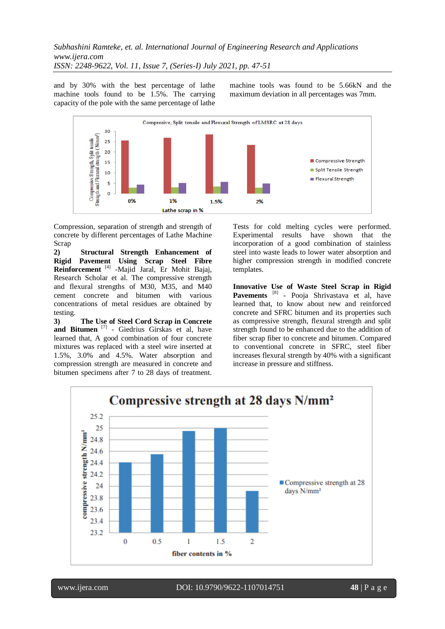and by 30% with the best percentage of lathe machine tools found to be 1.5%. The carrying capacity of the pole with the same percentage of lathe

machine tools was found to be 5.66kN and the maximum deviation in all percentages was 7mm.



Compression, separation of strength and strength of concrete by different percentages of Lathe Machine Scrap

**2) Structural Strength Enhancement of Rigid Pavement Using Scrap Steel Fibre Reinforcement** [4] -Majid Jaral, Er Mohit Bajaj, Research Scholar et al. The compressive strength and flexural strengths of M30, M35, and M40 cement concrete and bitumen with various concentrations of metal residues are obtained by testing.

**3) The Use of Steel Cord Scrap in Concrete**  and Bitumen<sup>[7]</sup> - Giedrius Girskas et al, have learned that, A good combination of four concrete mixtures was replaced with a steel wire inserted at 1.5%, 3.0% and 4.5%. Water absorption and compression strength are measured in concrete and bitumen specimens after 7 to 28 days of treatment. Tests for cold melting cycles were performed. Experimental results have shown that the incorporation of a good combination of stainless steel into waste leads to lower water absorption and higher compression strength in modified concrete templates.

**Innovative Use of Waste Steel Scrap in Rigid**  Pavements<sup>[8]</sup> - Pooja Shrivastava et al, have learned that, to know about new and reinforced concrete and SFRC bitumen and its properties such as compressive strength, flexural strength and split strength found to be enhanced due to the addition of fiber scrap fiber to concrete and bitumen. Compared to conventional concrete in SFRC, steel fiber increases flexural strength by 40% with a significant increase in pressure and stiffness.

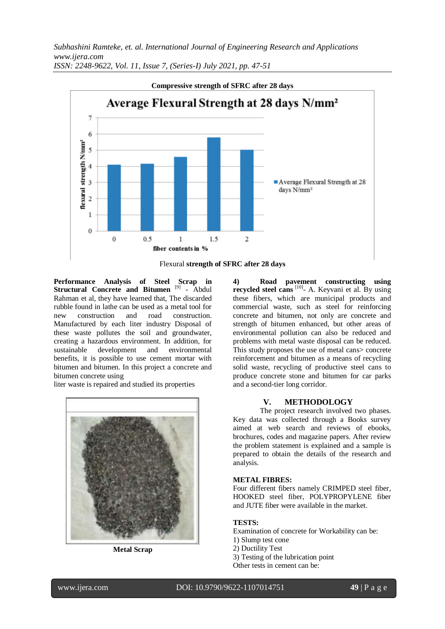

Flexural **strength of SFRC after 28 days**

**Performance Analysis of Steel Scrap in**  Structural Concrete and Bitumen<sup>[9]</sup> - Abdul Rahman et al, they have learned that, The discarded rubble found in lathe can be used as a metal tool for new construction and road construction. Manufactured by each liter industry Disposal of these waste pollutes the soil and groundwater, creating a hazardous environment. In addition, for sustainable development and environmental benefits, it is possible to use cement mortar with bitumen and bitumen. In this project a concrete and bitumen concrete using

liter waste is repaired and studied its properties



**Metal Scrap**

**4) Road pavement constructing using**  recycled steel cans<sup>[10]</sup>- A. Keyvani et al. By using these fibers, which are municipal products and commercial waste, such as steel for reinforcing concrete and bitumen, not only are concrete and strength of bitumen enhanced, but other areas of environmental pollution can also be reduced and problems with metal waste disposal can be reduced. This study proposes the use of metal cans> concrete reinforcement and bitumen as a means of recycling solid waste, recycling of productive steel cans to produce concrete stone and bitumen for car parks and a second-tier long corridor.

### **V. METHODOLOGY**

The project research involved two phases. Key data was collected through a Books survey aimed at web search and reviews of ebooks, brochures, codes and magazine papers. After review the problem statement is explained and a sample is prepared to obtain the details of the research and analysis.

#### **METAL FIBRES:**

Four different fibers namely CRIMPED steel fiber, HOOKED steel fiber, POLYPROPYLENE fiber and JUTE fiber were available in the market.

#### **TESTS:**

Examination of concrete for Workability can be:

- 1) Slump test cone
- 2) Ductility Test

3) Testing of the lubrication point

Other tests in cement can be: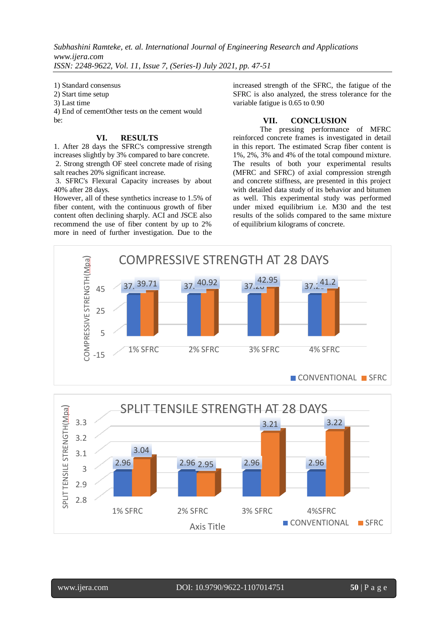1) Standard consensus

2) Start time setup

3) Last time

4) End of cementOther tests on the cement would be:

## **VI. RESULTS**

1. After 28 days the SFRC's compressive strength increases slightly by 3% compared to bare concrete. 2. Strong strength OF steel concrete made of rising salt reaches 20% significant increase.

3. SFRC's Flexural Capacity increases by about 40% after 28 days.

However, all of these synthetics increase to 1.5% of fiber content, with the continuous growth of fiber content often declining sharply. ACI and JSCE also recommend the use of fiber content by up to 2% more in need of further investigation. Due to the increased strength of the SFRC, the fatigue of the SFRC is also analyzed, the stress tolerance for the variable fatigue is 0.65 to 0.90

# **VII. CONCLUSION**

The pressing performance of MFRC reinforced concrete frames is investigated in detail in this report. The estimated Scrap fiber content is 1%, 2%, 3% and 4% of the total compound mixture. The results of both your experimental results (MFRC and SFRC) of axial compression strength and concrete stiffness, are presented in this project with detailed data study of its behavior and bitumen as well. This experimental study was performed under mixed equilibrium i.e. M30 and the test results of the solids compared to the same mixture of equilibrium kilograms of concrete.